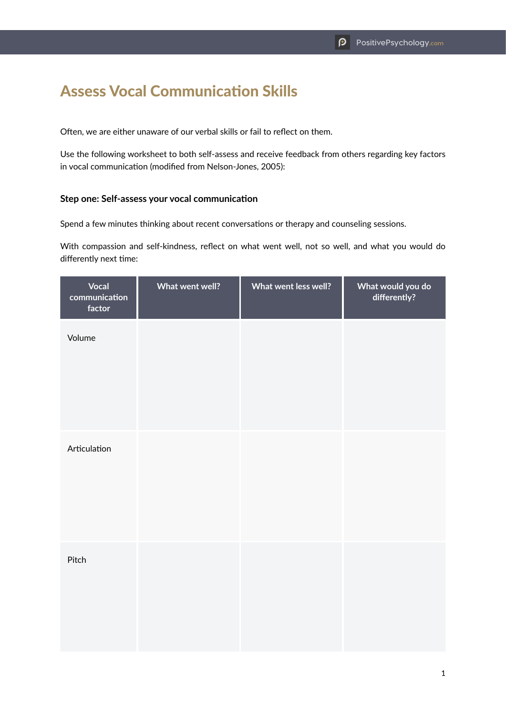## Assess Vocal Communication Skills

Often, we are either unaware of our verbal skills or fail to reflect on them.

Use the following worksheet to both self-assess and receive feedback from others regarding key factors in vocal communication (modified from Nelson-Jones, 2005):

## **Step one: Self-assess your vocal communication**

Spend a few minutes thinking about recent conversations or therapy and counseling sessions.

With compassion and self-kindness, reflect on what went well, not so well, and what you would do differently next time:

| Vocal<br>communication<br>factor | What went well? | What went less well? | What would you do<br>differently? |
|----------------------------------|-----------------|----------------------|-----------------------------------|
| Volume                           |                 |                      |                                   |
| Articulation                     |                 |                      |                                   |
| Pitch                            |                 |                      |                                   |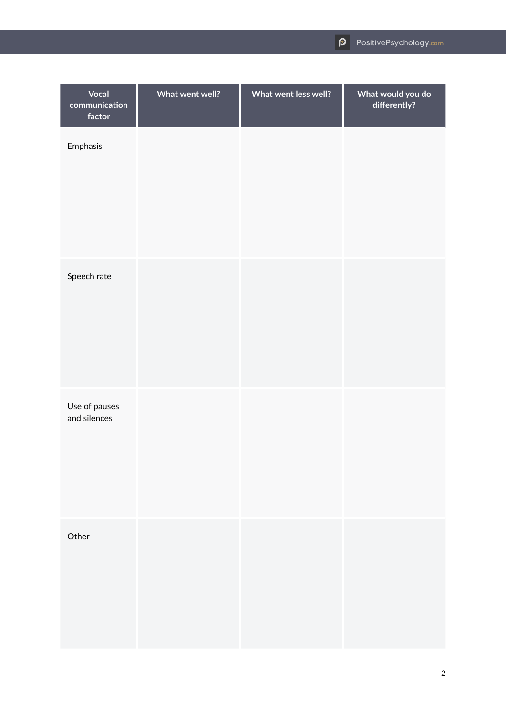| <b>Vocal</b><br>communication<br>factor | What went well? | What went less well? | What would you do<br>differently? |
|-----------------------------------------|-----------------|----------------------|-----------------------------------|
| Emphasis                                |                 |                      |                                   |
| Speech rate                             |                 |                      |                                   |
| Use of pauses<br>and silences           |                 |                      |                                   |
| Other                                   |                 |                      |                                   |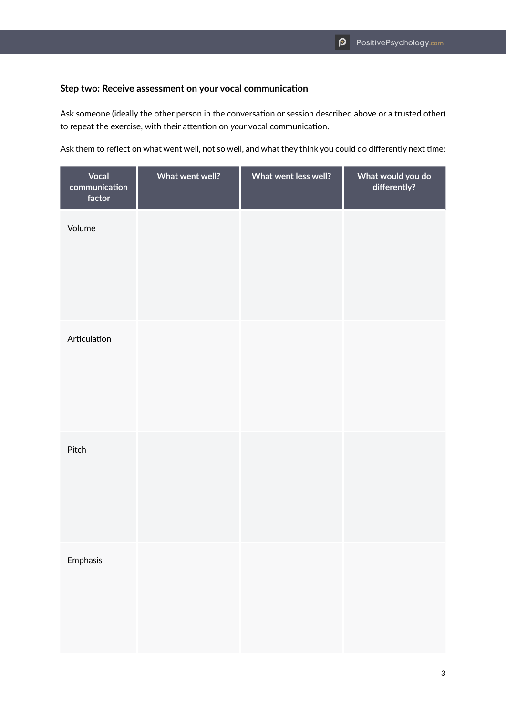## **Step two: Receive assessment on your vocal communication**

Ask someone (ideally the other person in the conversation or session described above or a trusted other) to repeat the exercise, with their attention on *your* vocal communication.

Ask them to reflect on what went well, not so well, and what they think you could do differently next time:

| Vocal<br>communication<br>factor | What went well? | What went less well? | What would you do<br>differently? |
|----------------------------------|-----------------|----------------------|-----------------------------------|
| Volume                           |                 |                      |                                   |
| Articulation                     |                 |                      |                                   |
| Pitch                            |                 |                      |                                   |
| Emphasis                         |                 |                      |                                   |